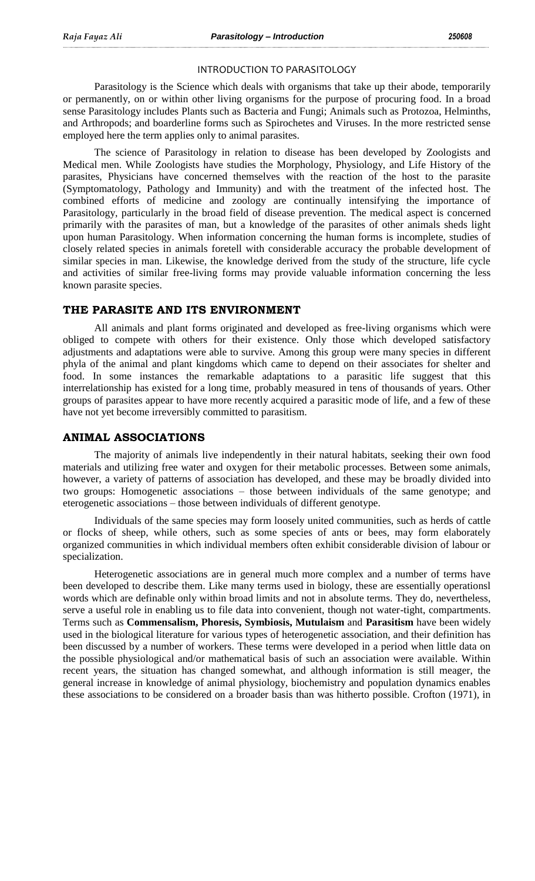#### INTRODUCTION TO PARASITOLOGY

Parasitology is the Science which deals with organisms that take up their abode, temporarily or permanently, on or within other living organisms for the purpose of procuring food. In a broad sense Parasitology includes Plants such as Bacteria and Fungi; Animals such as Protozoa, Helminths, and Arthropods; and boarderline forms such as Spirochetes and Viruses. In the more restricted sense employed here the term applies only to animal parasites.

The science of Parasitology in relation to disease has been developed by Zoologists and Medical men. While Zoologists have studies the Morphology, Physiology, and Life History of the parasites, Physicians have concerned themselves with the reaction of the host to the parasite (Symptomatology, Pathology and Immunity) and with the treatment of the infected host. The combined efforts of medicine and zoology are continually intensifying the importance of Parasitology, particularly in the broad field of disease prevention. The medical aspect is concerned primarily with the parasites of man, but a knowledge of the parasites of other animals sheds light upon human Parasitology. When information concerning the human forms is incomplete, studies of closely related species in animals foretell with considerable accuracy the probable development of similar species in man. Likewise, the knowledge derived from the study of the structure, life cycle and activities of similar free-living forms may provide valuable information concerning the less known parasite species.

## **THE PARASITE AND ITS ENVIRONMENT**

All animals and plant forms originated and developed as free-living organisms which were obliged to compete with others for their existence. Only those which developed satisfactory adjustments and adaptations were able to survive. Among this group were many species in different phyla of the animal and plant kingdoms which came to depend on their associates for shelter and food. In some instances the remarkable adaptations to a parasitic life suggest that this interrelationship has existed for a long time, probably measured in tens of thousands of years. Other groups of parasites appear to have more recently acquired a parasitic mode of life, and a few of these have not yet become irreversibly committed to parasitism.

#### **ANIMAL ASSOCIATIONS**

The majority of animals live independently in their natural habitats, seeking their own food materials and utilizing free water and oxygen for their metabolic processes. Between some animals, however, a variety of patterns of association has developed, and these may be broadly divided into two groups: Homogenetic associations – those between individuals of the same genotype; and eterogenetic associations – those between individuals of different genotype.

Individuals of the same species may form loosely united communities, such as herds of cattle or flocks of sheep, while others, such as some species of ants or bees, may form elaborately organized communities in which individual members often exhibit considerable division of labour or specialization.

Heterogenetic associations are in general much more complex and a number of terms have been developed to describe them. Like many terms used in biology, these are essentially operationsl words which are definable only within broad limits and not in absolute terms. They do, nevertheless, serve a useful role in enabling us to file data into convenient, though not water-tight, compartments. Terms such as **Commensalism, Phoresis, Symbiosis, Mutulaism** and **Parasitism** have been widely used in the biological literature for various types of heterogenetic association, and their definition has been discussed by a number of workers. These terms were developed in a period when little data on the possible physiological and/or mathematical basis of such an association were available. Within recent years, the situation has changed somewhat, and although information is still meager, the general increase in knowledge of animal physiology, biochemistry and population dynamics enables these associations to be considered on a broader basis than was hitherto possible. Crofton (1971), in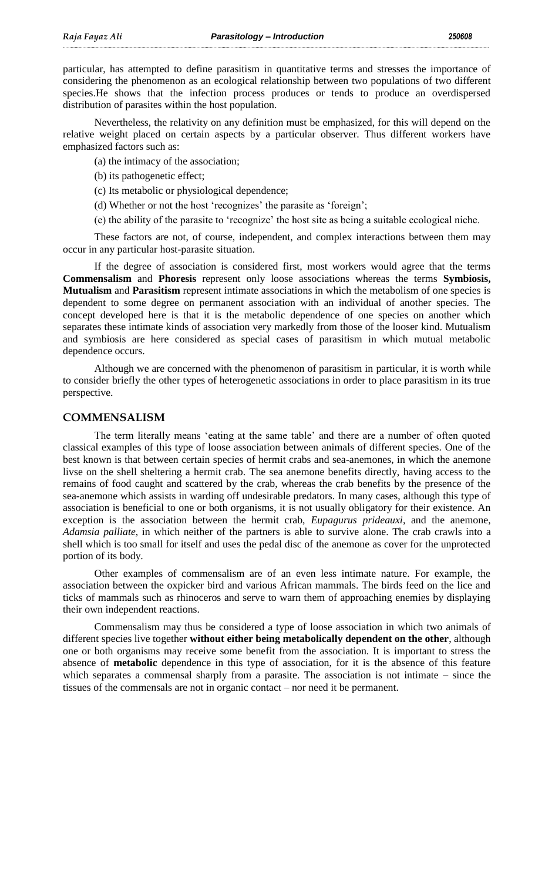particular, has attempted to define parasitism in quantitative terms and stresses the importance of considering the phenomenon as an ecological relationship between two populations of two different species.He shows that the infection process produces or tends to produce an overdispersed distribution of parasites within the host population.

Nevertheless, the relativity on any definition must be emphasized, for this will depend on the relative weight placed on certain aspects by a particular observer. Thus different workers have emphasized factors such as:

(a) the intimacy of the association;

- (b) its pathogenetic effect;
- (c) Its metabolic or physiological dependence;
- (d) Whether or not the host 'recognizes' the parasite as 'foreign';
- (e) the ability of the parasite to "recognize" the host site as being a suitable ecological niche.

These factors are not, of course, independent, and complex interactions between them may occur in any particular host-parasite situation.

If the degree of association is considered first, most workers would agree that the terms **Commensalism** and **Phoresis** represent only loose associations whereas the terms **Symbiosis, Mutualism** and **Parasitism** represent intimate associations in which the metabolism of one species is dependent to some degree on permanent association with an individual of another species. The concept developed here is that it is the metabolic dependence of one species on another which separates these intimate kinds of association very markedly from those of the looser kind. Mutualism and symbiosis are here considered as special cases of parasitism in which mutual metabolic dependence occurs.

Although we are concerned with the phenomenon of parasitism in particular, it is worth while to consider briefly the other types of heterogenetic associations in order to place parasitism in its true perspective.

# **COMMENSALISM**

The term literally means "eating at the same table" and there are a number of often quoted classical examples of this type of loose association between animals of different species. One of the best known is that between certain species of hermit crabs and sea-anemones, in which the anemone livse on the shell sheltering a hermit crab. The sea anemone benefits directly, having access to the remains of food caught and scattered by the crab, whereas the crab benefits by the presence of the sea-anemone which assists in warding off undesirable predators. In many cases, although this type of association is beneficial to one or both organisms, it is not usually obligatory for their existence. An exception is the association between the hermit crab, *Eupagurus prideauxi*, and the anemone, *Adamsia palliate*, in which neither of the partners is able to survive alone. The crab crawls into a shell which is too small for itself and uses the pedal disc of the anemone as cover for the unprotected portion of its body.

Other examples of commensalism are of an even less intimate nature. For example, the association between the oxpicker bird and various African mammals. The birds feed on the lice and ticks of mammals such as rhinoceros and serve to warn them of approaching enemies by displaying their own independent reactions.

Commensalism may thus be considered a type of loose association in which two animals of different species live together **without either being metabolically dependent on the other**, although one or both organisms may receive some benefit from the association. It is important to stress the absence of **metabolic** dependence in this type of association, for it is the absence of this feature which separates a commensal sharply from a parasite. The association is not intimate – since the tissues of the commensals are not in organic contact – nor need it be permanent.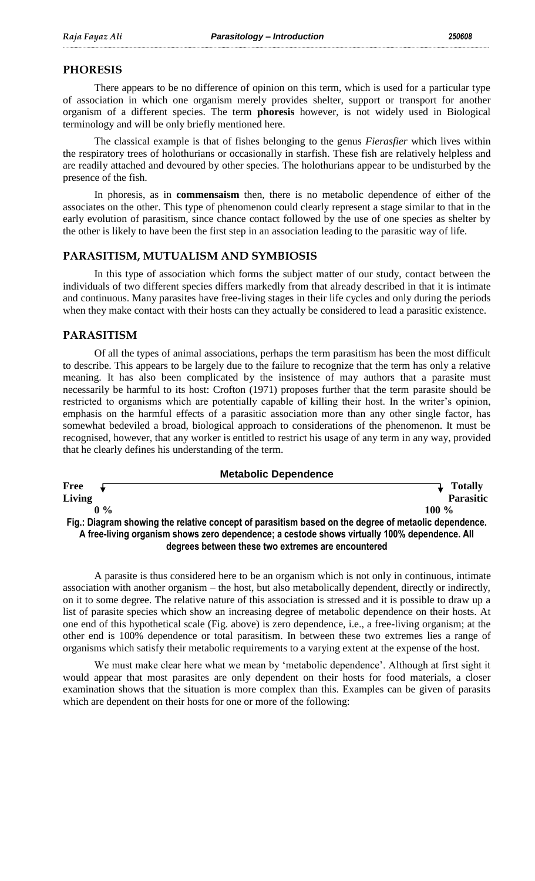## **PHORESIS**

There appears to be no difference of opinion on this term, which is used for a particular type of association in which one organism merely provides shelter, support or transport for another organism of a different species. The term **phoresis** however, is not widely used in Biological terminology and will be only briefly mentioned here.

The classical example is that of fishes belonging to the genus *Fierasfier* which lives within the respiratory trees of holothurians or occasionally in starfish. These fish are relatively helpless and are readily attached and devoured by other species. The holothurians appear to be undisturbed by the presence of the fish.

In phoresis, as in **commensaism** then, there is no metabolic dependence of either of the associates on the other. This type of phenomenon could clearly represent a stage similar to that in the early evolution of parasitism, since chance contact followed by the use of one species as shelter by the other is likely to have been the first step in an association leading to the parasitic way of life.

## **PARASITISM, MUTUALISM AND SYMBIOSIS**

In this type of association which forms the subject matter of our study, contact between the individuals of two different species differs markedly from that already described in that it is intimate and continuous. Many parasites have free-living stages in their life cycles and only during the periods when they make contact with their hosts can they actually be considered to lead a parasitic existence.

## **PARASITISM**

Of all the types of animal associations, perhaps the term parasitism has been the most difficult to describe. This appears to be largely due to the failure to recognize that the term has only a relative meaning. It has also been complicated by the insistence of may authors that a parasite must necessarily be harmful to its host: Crofton (1971) proposes further that the term parasite should be restricted to organisms which are potentially capable of killing their host. In the writer's opinion, emphasis on the harmful effects of a parasitic association more than any other single factor, has somewhat bedeviled a broad, biological approach to considerations of the phenomenon. It must be recognised, however, that any worker is entitled to restrict his usage of any term in any way, provided that he clearly defines his understanding of the term.



A parasite is thus considered here to be an organism which is not only in continuous, intimate association with another organism – the host, but also metabolically dependent, directly or indirectly, on it to some degree. The relative nature of this association is stressed and it is possible to draw up a list of parasite species which show an increasing degree of metabolic dependence on their hosts. At one end of this hypothetical scale (Fig. above) is zero dependence, i.e., a free-living organism; at the other end is 100% dependence or total parasitism. In between these two extremes lies a range of organisms which satisfy their metabolic requirements to a varying extent at the expense of the host.

We must make clear here what we mean by 'metabolic dependence'. Although at first sight it would appear that most parasites are only dependent on their hosts for food materials, a closer examination shows that the situation is more complex than this. Examples can be given of parasits which are dependent on their hosts for one or more of the following: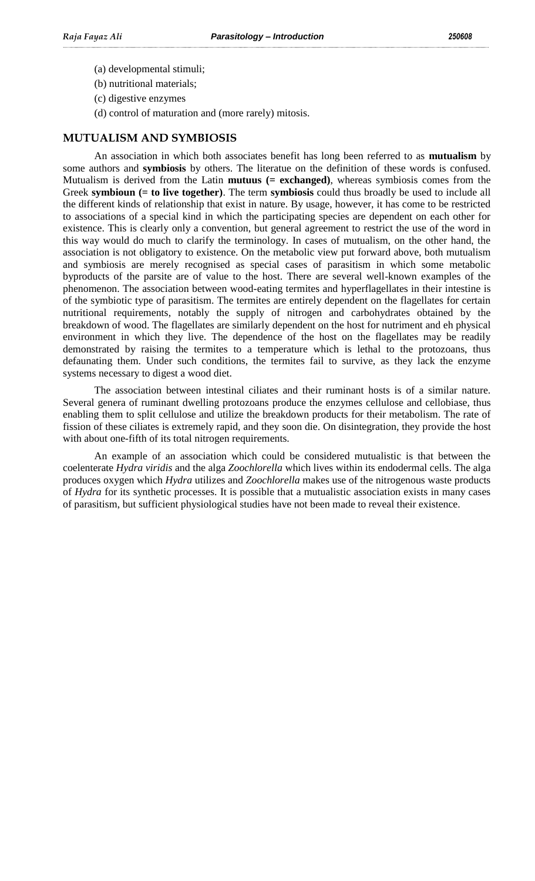- (a) developmental stimuli;
- (b) nutritional materials;
- (c) digestive enzymes
- (d) control of maturation and (more rarely) mitosis.

#### **MUTUALISM AND SYMBIOSIS**

An association in which both associates benefit has long been referred to as **mutualism** by some authors and **symbiosis** by others. The literatue on the definition of these words is confused. Mutualism is derived from the Latin **mutuus (= exchanged)**, whereas symbiosis comes from the Greek **symbioun (= to live together)**. The term **symbiosis** could thus broadly be used to include all the different kinds of relationship that exist in nature. By usage, however, it has come to be restricted to associations of a special kind in which the participating species are dependent on each other for existence. This is clearly only a convention, but general agreement to restrict the use of the word in this way would do much to clarify the terminology. In cases of mutualism, on the other hand, the association is not obligatory to existence. On the metabolic view put forward above, both mutualism and symbiosis are merely recognised as special cases of parasitism in which some metabolic byproducts of the parsite are of value to the host. There are several well-known examples of the phenomenon. The association between wood-eating termites and hyperflagellates in their intestine is of the symbiotic type of parasitism. The termites are entirely dependent on the flagellates for certain nutritional requirements, notably the supply of nitrogen and carbohydrates obtained by the breakdown of wood. The flagellates are similarly dependent on the host for nutriment and eh physical environment in which they live. The dependence of the host on the flagellates may be readily demonstrated by raising the termites to a temperature which is lethal to the protozoans, thus defaunating them. Under such conditions, the termites fail to survive, as they lack the enzyme systems necessary to digest a wood diet.

The association between intestinal ciliates and their ruminant hosts is of a similar nature. Several genera of ruminant dwelling protozoans produce the enzymes cellulose and cellobiase, thus enabling them to split cellulose and utilize the breakdown products for their metabolism. The rate of fission of these ciliates is extremely rapid, and they soon die. On disintegration, they provide the host with about one-fifth of its total nitrogen requirements.

An example of an association which could be considered mutualistic is that between the coelenterate *Hydra viridis* and the alga *Zoochlorella* which lives within its endodermal cells. The alga produces oxygen which *Hydra* utilizes and *Zoochlorella* makes use of the nitrogenous waste products of *Hydra* for its synthetic processes. It is possible that a mutualistic association exists in many cases of parasitism, but sufficient physiological studies have not been made to reveal their existence.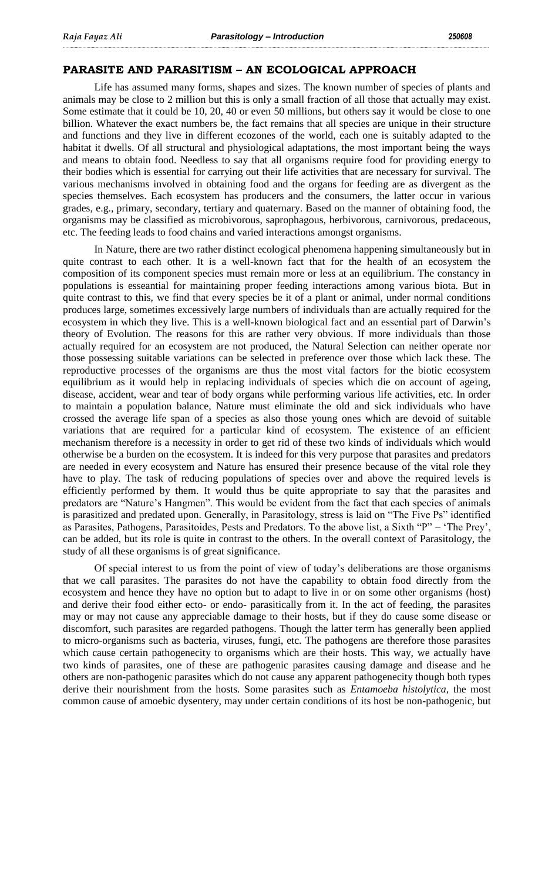#### **PARASITE AND PARASITISM – AN ECOLOGICAL APPROACH**

Life has assumed many forms, shapes and sizes. The known number of species of plants and animals may be close to 2 million but this is only a small fraction of all those that actually may exist. Some estimate that it could be 10, 20, 40 or even 50 millions, but others say it would be close to one billion. Whatever the exact numbers be, the fact remains that all species are unique in their structure and functions and they live in different ecozones of the world, each one is suitably adapted to the habitat it dwells. Of all structural and physiological adaptations, the most important being the ways and means to obtain food. Needless to say that all organisms require food for providing energy to their bodies which is essential for carrying out their life activities that are necessary for survival. The various mechanisms involved in obtaining food and the organs for feeding are as divergent as the species themselves. Each ecosystem has producers and the consumers, the latter occur in various grades, e.g., primary, secondary, tertiary and quaternary. Based on the manner of obtaining food, the organisms may be classified as microbivorous, saprophagous, herbivorous, carnivorous, predaceous, etc. The feeding leads to food chains and varied interactions amongst organisms.

In Nature, there are two rather distinct ecological phenomena happening simultaneously but in quite contrast to each other. It is a well-known fact that for the health of an ecosystem the composition of its component species must remain more or less at an equilibrium. The constancy in populations is esseantial for maintaining proper feeding interactions among various biota. But in quite contrast to this, we find that every species be it of a plant or animal, under normal conditions produces large, sometimes excessively large numbers of individuals than are actually required for the ecosystem in which they live. This is a well-known biological fact and an essential part of Darwin"s theory of Evolution. The reasons for this are rather very obvious. If more individuals than those actually required for an ecosystem are not produced, the Natural Selection can neither operate nor those possessing suitable variations can be selected in preference over those which lack these. The reproductive processes of the organisms are thus the most vital factors for the biotic ecosystem equilibrium as it would help in replacing individuals of species which die on account of ageing, disease, accident, wear and tear of body organs while performing various life activities, etc. In order to maintain a population balance, Nature must eliminate the old and sick individuals who have crossed the average life span of a species as also those young ones which are devoid of suitable variations that are required for a particular kind of ecosystem. The existence of an efficient mechanism therefore is a necessity in order to get rid of these two kinds of individuals which would otherwise be a burden on the ecosystem. It is indeed for this very purpose that parasites and predators are needed in every ecosystem and Nature has ensured their presence because of the vital role they have to play. The task of reducing populations of species over and above the required levels is efficiently performed by them. It would thus be quite appropriate to say that the parasites and predators are "Nature's Hangmen". This would be evident from the fact that each species of animals is parasitized and predated upon. Generally, in Parasitology, stress is laid on "The Five Ps" identified as Parasites, Pathogens, Parasitoides, Pests and Predators. To the above list, a Sixth "P" – "The Prey", can be added, but its role is quite in contrast to the others. In the overall context of Parasitology, the study of all these organisms is of great significance.

Of special interest to us from the point of view of today"s deliberations are those organisms that we call parasites. The parasites do not have the capability to obtain food directly from the ecosystem and hence they have no option but to adapt to live in or on some other organisms (host) and derive their food either ecto- or endo- parasitically from it. In the act of feeding, the parasites may or may not cause any appreciable damage to their hosts, but if they do cause some disease or discomfort, such parasites are regarded pathogens. Though the latter term has generally been applied to micro-organisms such as bacteria, viruses, fungi, etc. The pathogens are therefore those parasites which cause certain pathogenecity to organisms which are their hosts. This way, we actually have two kinds of parasites, one of these are pathogenic parasites causing damage and disease and he others are non-pathogenic parasites which do not cause any apparent pathogenecity though both types derive their nourishment from the hosts. Some parasites such as *Entamoeba histolytica*, the most common cause of amoebic dysentery, may under certain conditions of its host be non-pathogenic, but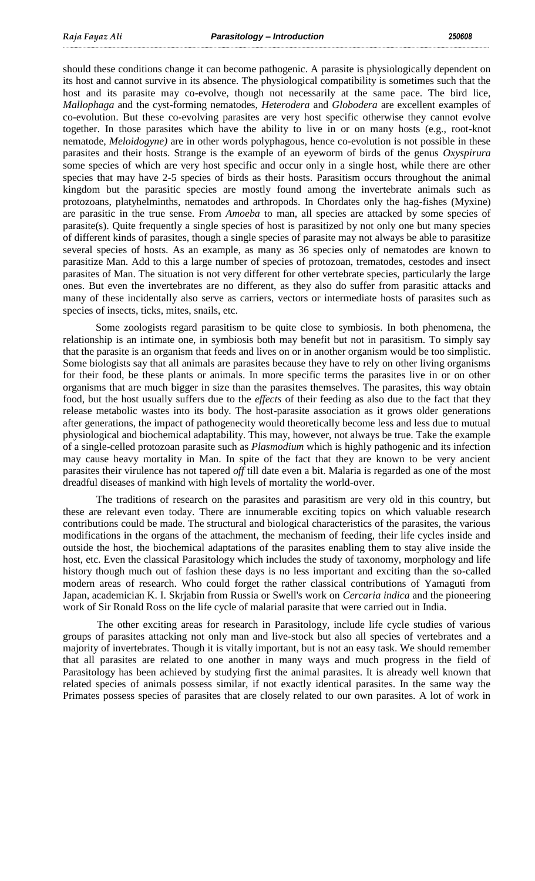should these conditions change it can become pathogenic. A parasite is physiologically dependent on its host and cannot survive in its absence. The physiological compatibility is sometimes such that the host and its parasite may co-evolve, though not necessarily at the same pace. The bird lice, *Mallophaga* and the cyst-forming nematodes, *Heterodera* and *Globodera* are excellent examples of co-evolution. But these co-evolving parasites are very host specific otherwise they cannot evolve together. In those parasites which have the ability to live in or on many hosts (e.g., root-knot nematode, *Meloidogyne)* are in other words polyphagous, hence co-evolution is not possible in these parasites and their hosts. Strange is the example of an eyeworm of birds of the genus *Oxyspirura*  some species of which are very host specific and occur only in a single host, while there are other species that may have 2-5 species of birds as their hosts. Parasitism occurs throughout the animal kingdom but the parasitic species are mostly found among the invertebrate animals such as protozoans, platyhelminths, nematodes and arthropods. In Chordates only the hag-fishes (Myxine) are parasitic in the true sense. From *Amoeba* to man, all species are attacked by some species of parasite(s). Quite frequently a single species of host is parasitized by not only one but many species of different kinds of parasites, though a single species of parasite may not always be able to parasitize several species of hosts. As an example, as many as 36 species only of nematodes are known to parasitize Man. Add to this a large number of species of protozoan, trematodes, cestodes and insect parasites of Man. The situation is not very different for other vertebrate species, particularly the large ones. But even the invertebrates are no different, as they also do suffer from parasitic attacks and many of these incidentally also serve as carriers, vectors or intermediate hosts of parasites such as species of insects, ticks, mites, snails, etc.

Some zoologists regard parasitism to be quite close to symbiosis. In both phenomena, the relationship is an intimate one, in symbiosis both may benefit but not in parasitism. To simply say that the parasite is an organism that feeds and lives on or in another organism would be too simplistic. Some biologists say that all animals are parasites because they have to rely on other living organisms for their food, be these plants or animals. In more specific terms the parasites live in or on other organisms that are much bigger in size than the parasites themselves. The parasites, this way obtain food, but the host usually suffers due to the *effects* of their feeding as also due to the fact that they release metabolic wastes into its body. The host-parasite association as it grows older generations after generations, the impact of pathogenecity would theoretically become less and less due to mutual physiological and biochemical adaptability. This may, however, not always be true. Take the example of a single-celled protozoan parasite such as *Plasmodium* which is highly pathogenic and its infection may cause heavy mortality in Man. In spite of the fact that they are known to be very ancient parasites their virulence has not tapered *off* till date even a bit. Malaria is regarded as one of the most dreadful diseases of mankind with high levels of mortality the world-over.

The traditions of research on the parasites and parasitism are very old in this country, but these are relevant even today. There are innumerable exciting topics on which valuable research contributions could be made. The structural and biological characteristics of the parasites, the various modifications in the organs of the attachment, the mechanism of feeding, their life cycles inside and outside the host, the biochemical adaptations of the parasites enabling them to stay alive inside the host, etc. Even the classical Parasitology which includes the study of taxonomy, morphology and life history though much out of fashion these days is no less important and exciting than the so-called modern areas of research. Who could forget the rather classical contributions of Yamaguti from Japan, academician K. I. Skrjabin from Russia or Swell's work on *Cercaria indica* and the pioneering work of Sir Ronald Ross on the life cycle of malarial parasite that were carried out in India.

The other exciting areas for research in Parasitology, include life cycle studies of various groups of parasites attacking not only man and live-stock but also all species of vertebrates and a majority of invertebrates. Though it is vitally important, but is not an easy task. We should remember that all parasites are related to one another in many ways and much progress in the field of Parasitology has been achieved by studying first the animal parasites. It is already well known that related species of animals possess similar, if not exactly identical parasites. In the same way the Primates possess species of parasites that are closely related to our own parasites. A lot of work in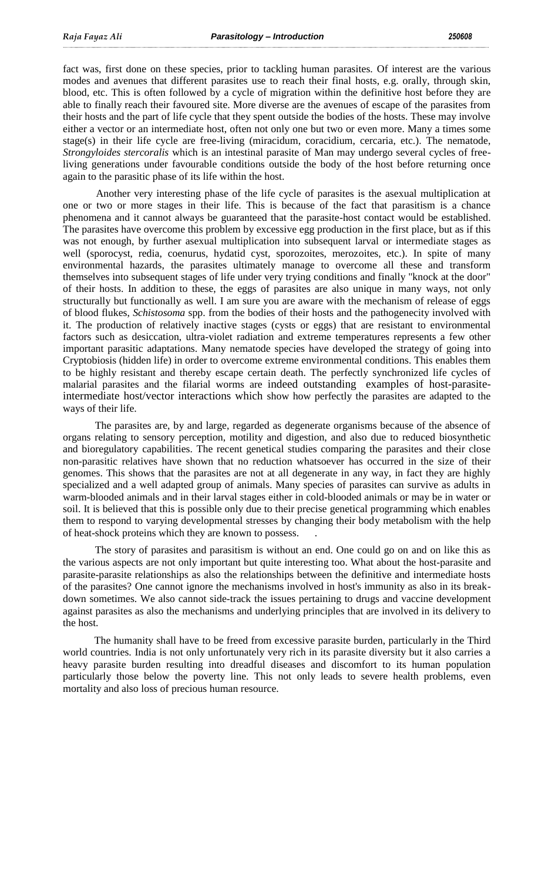fact was, first done on these species, prior to tackling human parasites. Of interest are the various modes and avenues that different parasites use to reach their final hosts, e.g. orally, through skin, blood, etc. This is often followed by a cycle of migration within the definitive host before they are able to finally reach their favoured site. More diverse are the avenues of escape of the parasites from their hosts and the part of life cycle that they spent outside the bodies of the hosts. These may involve either a vector or an intermediate host, often not only one but two or even more. Many a times some stage(s) in their life cycle are free-living (miracidum, coracidium, cercaria, etc.). The nematode, *Strongyloides stercoralis* which is an intestinal parasite of Man may undergo several cycles of freeliving generations under favourable conditions outside the body of the host before returning once again to the parasitic phase of its life within the host.

Another very interesting phase of the life cycle of parasites is the asexual multiplication at one or two or more stages in their life. This is because of the fact that parasitism is a chance phenomena and it cannot always be guaranteed that the parasite-host contact would be established. The parasites have overcome this problem by excessive egg production in the first place, but as if this was not enough, by further asexual multiplication into subsequent larval or intermediate stages as well (sporocyst, redia, coenurus, hydatid cyst, sporozoites, merozoites, etc.). In spite of many environmental hazards, the parasites ultimately manage to overcome all these and transform themselves into subsequent stages of life under very trying conditions and finally "knock at the door" of their hosts. In addition to these, the eggs of parasites are also unique in many ways, not only structurally but functionally as well. I am sure you are aware with the mechanism of release of eggs of blood flukes, *Schistosoma* spp. from the bodies of their hosts and the pathogenecity involved with it. The production of relatively inactive stages (cysts or eggs) that are resistant to environmental factors such as desiccation, ultra-violet radiation and extreme temperatures represents a few other important parasitic adaptations. Many nematode species have developed the strategy of going into Cryptobiosis (hidden life) in order to overcome extreme environmental conditions. This enables them to be highly resistant and thereby escape certain death. The perfectly synchronized life cycles of malarial parasites and the filarial worms are indeed outstanding examples of host-parasiteintermediate host/vector interactions which show how perfectly the parasites are adapted to the ways of their life.

The parasites are, by and large, regarded as degenerate organisms because of the absence of organs relating to sensory perception, motility and digestion, and also due to reduced biosynthetic and bioregulatory capabilities. The recent genetical studies comparing the parasites and their close non-parasitic relatives have shown that no reduction whatsoever has occurred in the size of their genomes. This shows that the parasites are not at all degenerate in any way, in fact they are highly specialized and a well adapted group of animals. Many species of parasites can survive as adults in warm-blooded animals and in their larval stages either in cold-blooded animals or may be in water or soil. It is believed that this is possible only due to their precise genetical programming which enables them to respond to varying developmental stresses by changing their body metabolism with the help of heat-shock proteins which they are known to possess. .

The story of parasites and parasitism is without an end. One could go on and on like this as the various aspects are not only important but quite interesting too. What about the host-parasite and parasite-parasite relationships as also the relationships between the definitive and intermediate hosts of the parasites? One cannot ignore the mechanisms involved in host's immunity as also in its breakdown sometimes. We also cannot side-track the issues pertaining to drugs and vaccine development against parasites as also the mechanisms and underlying principles that are involved in its delivery to the host.

The humanity shall have to be freed from excessive parasite burden, particularly in the Third world countries. India is not only unfortunately very rich in its parasite diversity but it also carries a heavy parasite burden resulting into dreadful diseases and discomfort to its human population particularly those below the poverty line. This not only leads to severe health problems, even mortality and also loss of precious human resource.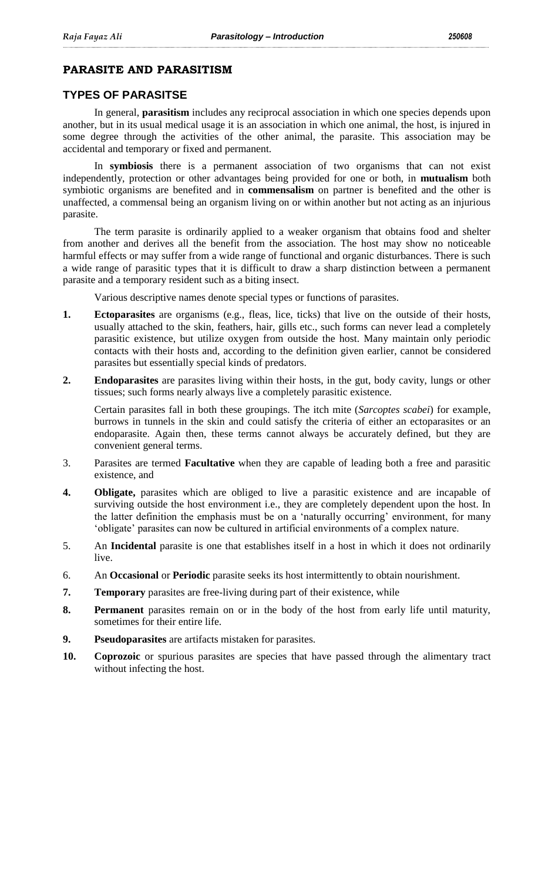# **PARASITE AND PARASITISM**

# **TYPES OF PARASITSE**

In general, **parasitism** includes any reciprocal association in which one species depends upon another, but in its usual medical usage it is an association in which one animal, the host, is injured in some degree through the activities of the other animal, the parasite. This association may be accidental and temporary or fixed and permanent.

In **symbiosis** there is a permanent association of two organisms that can not exist independently, protection or other advantages being provided for one or both, in **mutualism** both symbiotic organisms are benefited and in **commensalism** on partner is benefited and the other is unaffected, a commensal being an organism living on or within another but not acting as an injurious parasite.

The term parasite is ordinarily applied to a weaker organism that obtains food and shelter from another and derives all the benefit from the association. The host may show no noticeable harmful effects or may suffer from a wide range of functional and organic disturbances. There is such a wide range of parasitic types that it is difficult to draw a sharp distinction between a permanent parasite and a temporary resident such as a biting insect.

Various descriptive names denote special types or functions of parasites.

- **1. Ectoparasites** are organisms (e.g., fleas, lice, ticks) that live on the outside of their hosts, usually attached to the skin, feathers, hair, gills etc., such forms can never lead a completely parasitic existence, but utilize oxygen from outside the host. Many maintain only periodic contacts with their hosts and, according to the definition given earlier, cannot be considered parasites but essentially special kinds of predators.
- **2. Endoparasites** are parasites living within their hosts, in the gut, body cavity, lungs or other tissues; such forms nearly always live a completely parasitic existence.

Certain parasites fall in both these groupings. The itch mite (*Sarcoptes scabei*) for example, burrows in tunnels in the skin and could satisfy the criteria of either an ectoparasites or an endoparasite. Again then, these terms cannot always be accurately defined, but they are convenient general terms.

- 3. Parasites are termed **Facultative** when they are capable of leading both a free and parasitic existence, and
- **4. Obligate,** parasites which are obliged to live a parasitic existence and are incapable of surviving outside the host environment i.e., they are completely dependent upon the host. In the latter definition the emphasis must be on a 'naturally occurring' environment, for many "obligate" parasites can now be cultured in artificial environments of a complex nature.
- 5. An **Incidental** parasite is one that establishes itself in a host in which it does not ordinarily live.
- 6. An **Occasional** or **Periodic** parasite seeks its host intermittently to obtain nourishment.
- **7. Temporary** parasites are free-living during part of their existence, while
- **8. Permanent** parasites remain on or in the body of the host from early life until maturity, sometimes for their entire life.
- **9. Pseudoparasites** are artifacts mistaken for parasites.
- **10. Coprozoic** or spurious parasites are species that have passed through the alimentary tract without infecting the host.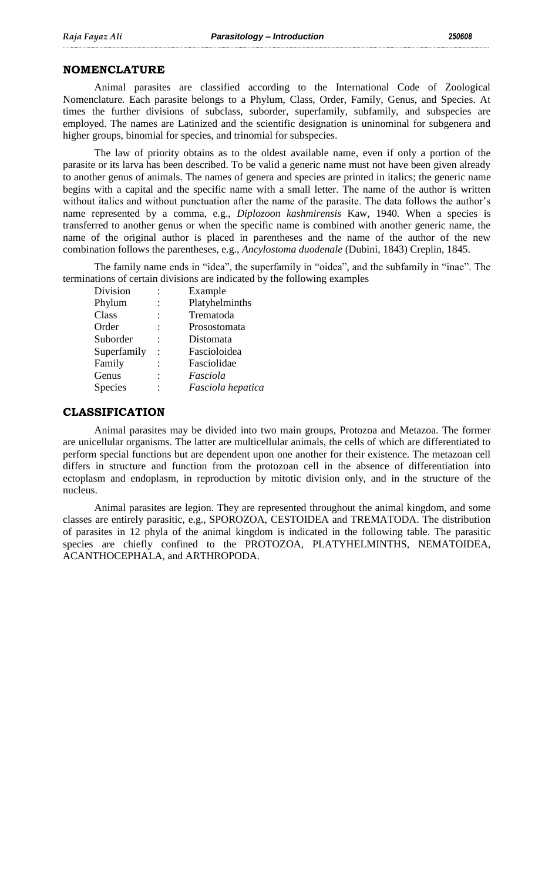### **NOMENCLATURE**

Animal parasites are classified according to the International Code of Zoological Nomenclature. Each parasite belongs to a Phylum, Class, Order, Family, Genus, and Species. At times the further divisions of subclass, suborder, superfamily, subfamily, and subspecies are employed. The names are Latinized and the scientific designation is uninominal for subgenera and higher groups, binomial for species, and trinomial for subspecies.

The law of priority obtains as to the oldest available name, even if only a portion of the parasite or its larva has been described. To be valid a generic name must not have been given already to another genus of animals. The names of genera and species are printed in italics; the generic name begins with a capital and the specific name with a small letter. The name of the author is written without italics and without punctuation after the name of the parasite. The data follows the author's name represented by a comma, e.g., *Diplozoon kashmirensis* Kaw, 1940. When a species is transferred to another genus or when the specific name is combined with another generic name, the name of the original author is placed in parentheses and the name of the author of the new combination follows the parentheses, e.g., *Ancylostoma duodenale* (Dubini, 1843) Creplin, 1845.

The family name ends in "idea", the superfamily in "oidea", and the subfamily in "inae". The terminations of certain divisions are indicated by the following examples

| Division       | Example           |
|----------------|-------------------|
| Phylum         | Platyhelminths    |
| Class          | Trematoda         |
| Order          | Prosostomata      |
| Suborder       | Distomata         |
| Superfamily    | Fascioloidea      |
| Family         | Fasciolidae       |
| Genus          | Fasciola          |
| <b>Species</b> | Fasciola hepatica |

## **CLASSIFICATION**

Animal parasites may be divided into two main groups, Protozoa and Metazoa. The former are unicellular organisms. The latter are multicellular animals, the cells of which are differentiated to perform special functions but are dependent upon one another for their existence. The metazoan cell differs in structure and function from the protozoan cell in the absence of differentiation into ectoplasm and endoplasm, in reproduction by mitotic division only, and in the structure of the nucleus.

Animal parasites are legion. They are represented throughout the animal kingdom, and some classes are entirely parasitic, e.g., SPOROZOA, CESTOIDEA and TREMATODA. The distribution of parasites in 12 phyla of the animal kingdom is indicated in the following table. The parasitic species are chiefly confined to the PROTOZOA, PLATYHELMINTHS, NEMATOIDEA, ACANTHOCEPHALA, and ARTHROPODA.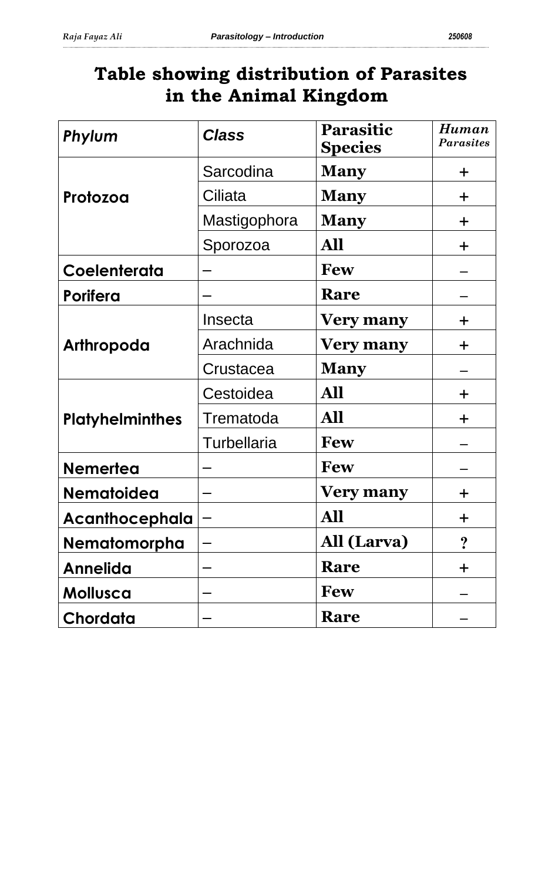# **Table showing distribution of Parasites in the Animal Kingdom**

| Phylum                 | <b>Class</b>       | <b>Parasitic</b><br><b>Species</b> | Human<br><b>Parasites</b> |
|------------------------|--------------------|------------------------------------|---------------------------|
|                        | Sarcodina          | <b>Many</b>                        | $\pm$                     |
| Protozoa               | Ciliata            | <b>Many</b>                        | $\pm$                     |
|                        | Mastigophora       | <b>Many</b>                        | $\pm$                     |
|                        | Sporozoa           | All                                | $\pm$                     |
| Coelenterata           |                    | <b>Few</b>                         |                           |
| <b>Porifera</b>        |                    | Rare                               |                           |
| Arthropoda             | Insecta            | <b>Very many</b>                   | $\div$                    |
|                        | Arachnida          | <b>Very many</b>                   | $\pm$                     |
|                        | Crustacea          | <b>Many</b>                        |                           |
| <b>Platyhelminthes</b> | Cestoidea          | All                                | $\pm$                     |
|                        | Trematoda          | All                                | $\div$                    |
|                        | <b>Turbellaria</b> | <b>Few</b>                         |                           |
| <b>Nemertea</b>        |                    | <b>Few</b>                         |                           |
| <b>Nematoidea</b>      |                    | <b>Very many</b>                   | ╈                         |
| <b>Acanthocephala</b>  |                    | All                                | $\div$                    |
| <b>Nematomorpha</b>    |                    | All (Larva)                        | ?                         |
| <b>Annelida</b>        |                    | Rare                               | $\pm$                     |
| Mollusca               |                    | <b>Few</b>                         |                           |
| Chordata               |                    | Rare                               |                           |